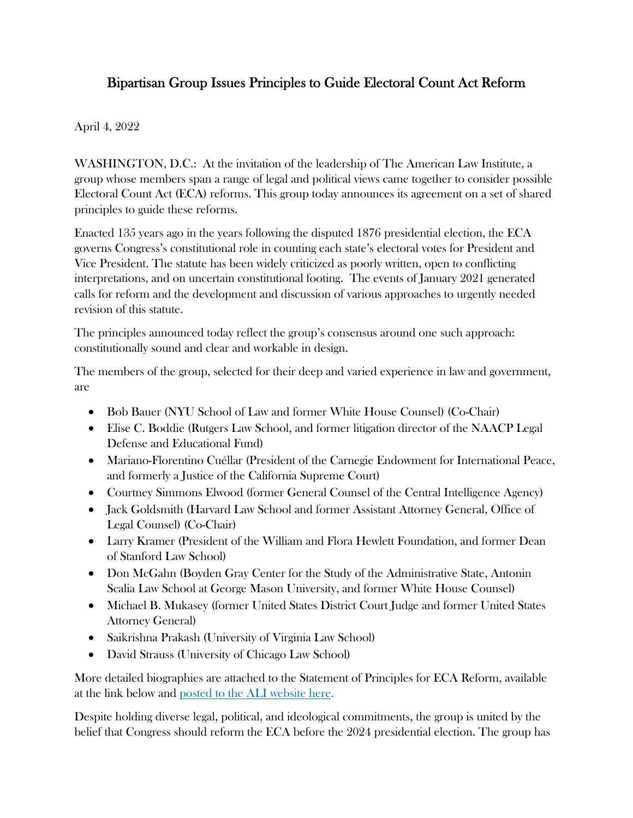## Bipartisan Group Issues Principles to Guide Electoral Count Act Reform

## April 4, 2022

WASHINGTON, D.C.: At the invitation of the leadership of The American Law Institute, a group whose members span a range of legal and political views came together to consider possible Electoral Count Act (ECA) reforms. This group today announces its agreement on a set of shared principles to guide these reforms.

Enacted 135 years ago in the years following the disputed 1876 presidential election, the ECA governs Congress's constitutional role in counting each state's electoral votes for President and Vice President. The statute has been widely criticized as poorly written, open to conflicting interpretations, and on uncertain constitutional footing. The events of January 2021 generated calls for reform and the development and discussion of various approaches to urgently needed revision of this statute.

The principles announced today reflect the group's consensus around one such approach: constitutionally sound and clear and workable in design.

The members of the group, selected for their deep and varied experience in law and government, are

- Bob Bauer (NYU School of Law and former White House Counsel) (Co-Chair)
- Elise C. Boddie (Rutgers Law School, and former litigation director of the NAACP Legal Defense and Educational Fund)
- Mariano-Florentino Cuéllar (President of the Carnegie Endowment for International Peace, and formerly a Justice of the California Supreme Court)
- Courtney Simmons Elwood (former General Counsel of the Central Intelligence Agency)
- Jack Goldsmith (Harvard Law School and former Assistant Attorney General, Office of Legal Counsel) (Co-Chair)
- Larry Kramer (President of the William and Flora Hewlett Foundation, and former Dean of Stanford Law School)
- Don McGahn (Boyden Gray Center for the Study of the Administrative State, Antonin Scalia Law School at George Mason University, and former White House Counsel)
- Michael B. Mukasey (former United States District Court Judge and former United States Attorney General)
- Saikrishna Prakash (University of Virginia Law School)
- David Strauss (University of Chicago Law School)

More detailed biographies are attached to the Statement of Principles for ECA Reform, available at the link below and [posted to the ALI website here.](https://www.ali.org/media/filer_public/31/27/312774df-88a5-4cbe-b6b0-0fd036cd3a95/principles_for_eca_reform.pdf)

Despite holding diverse legal, political, and ideological commitments, the group is united by the belief that Congress should reform the ECA before the 2024 presidential election. The group has